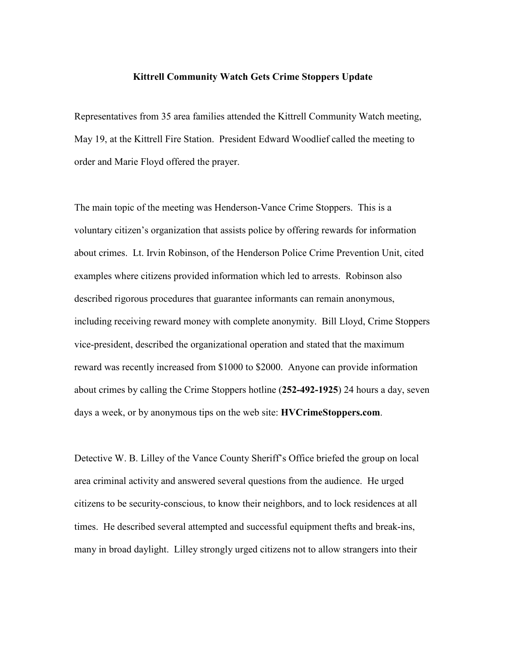## **Kittrell Community Watch Gets Crime Stoppers Update**

Representatives from 35 area families attended the Kittrell Community Watch meeting, May 19, at the Kittrell Fire Station. President Edward Woodlief called the meeting to order and Marie Floyd offered the prayer.

The main topic of the meeting was Henderson-Vance Crime Stoppers. This is a voluntary citizen's organization that assists police by offering rewards for information about crimes. Lt. Irvin Robinson, of the Henderson Police Crime Prevention Unit, cited examples where citizens provided information which led to arrests. Robinson also described rigorous procedures that guarantee informants can remain anonymous, including receiving reward money with complete anonymity. Bill Lloyd, Crime Stoppers vice-president, described the organizational operation and stated that the maximum reward was recently increased from \$1000 to \$2000. Anyone can provide information about crimes by calling the Crime Stoppers hotline (**252-492-1925**) 24 hours a day, seven days a week, or by anonymous tips on the web site: **HVCrimeStoppers.com**.

Detective W. B. Lilley of the Vance County Sheriff's Office briefed the group on local area criminal activity and answered several questions from the audience. He urged citizens to be security-conscious, to know their neighbors, and to lock residences at all times. He described several attempted and successful equipment thefts and break-ins, many in broad daylight. Lilley strongly urged citizens not to allow strangers into their